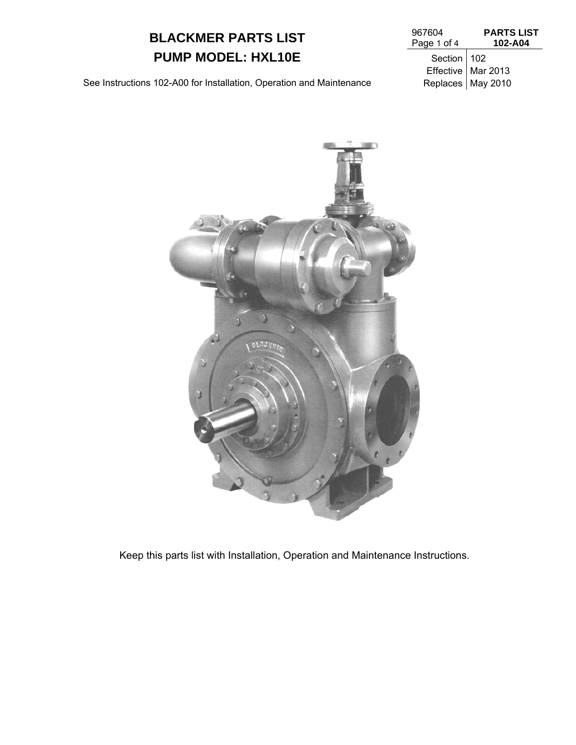# **BLACKMER PARTS LIST PUMP MODEL: HXL10E** Section 102

| 967604      | <b>PARTS LIST</b> |  |  |
|-------------|-------------------|--|--|
| Page 1 of 4 | 102-A04           |  |  |

Effective Mar 2013

See Instructions 102-A00 for Installation, Operation and Maintenance Replaces | May 2010



Keep this parts list with Installation, Operation and Maintenance Instructions.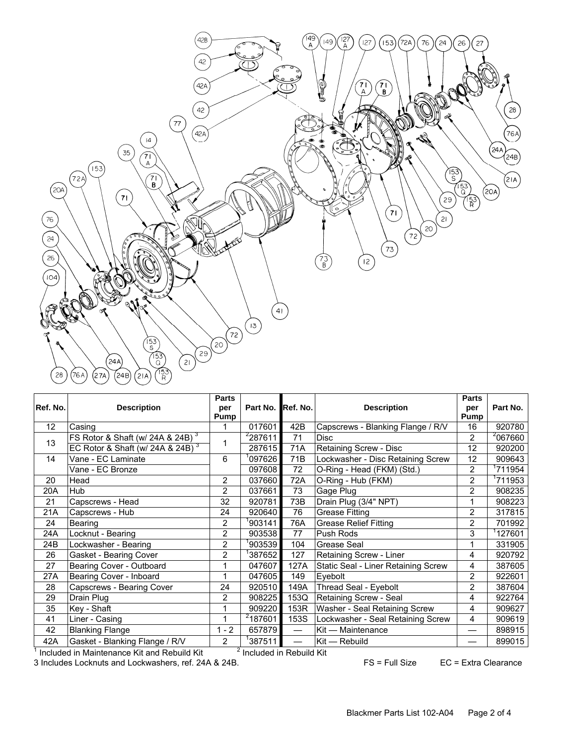

|          |                                              | <b>Parts</b>   |                     |                 |                                     | <b>Parts</b>   |                     |
|----------|----------------------------------------------|----------------|---------------------|-----------------|-------------------------------------|----------------|---------------------|
| Ref. No. | <b>Description</b>                           | per<br>Pump    | Part No. Ref. No.   |                 | <b>Description</b>                  | per<br>Pump    | Part No.            |
| 12       | Casing                                       |                | 017601              | 42B             | Capscrews - Blanking Flange / R/V   | 16             | 920780              |
| 13       | FS Rotor & Shaft (w/ 24A & 24B) <sup>3</sup> |                | $\frac{2}{2}87611$  | 71              | <b>Disc</b>                         | 2              | <sup>2</sup> 067660 |
|          | EC Rotor & Shaft (w/ 24A & 24B) $3$          |                | 287615              | 71A             | Retaining Screw - Disc              | 12             | 920200              |
| 14       | Vane - EC Laminate                           | 6              | 097626              | 71B             | Lockwasher - Disc Retaining Screw   | 12             | 909643              |
|          | Vane - EC Bronze                             |                | 097608              | 72              | O-Ring - Head (FKM) (Std.)          | $\overline{2}$ | <sup>1</sup> 711954 |
| 20       | Head                                         | $\overline{2}$ | 037660              | 72A             | O-Ring - Hub (FKM)                  | $\overline{2}$ | 711953              |
| 20A      | Hub                                          | 2              | 037661              | 73              | Gage Plug                           | $\overline{2}$ | 908235              |
| 21       | Capscrews - Head                             | 32             | 920781              | 73B             | Drain Plug (3/4" NPT)               | 1              | 908223              |
| 21A      | Capscrews - Hub                              | 24             | 920640              | 76              | Grease Fitting                      | 2              | 317815              |
| 24       | Bearing                                      | 2              | 903141              | 76A             | <b>Grease Relief Fitting</b>        | $\overline{2}$ | 701992              |
| 24A      | Locknut - Bearing                            | 2              | 903538              | 77              | Push Rods                           | 3              | 127601              |
| 24B      | Lockwasher - Bearing                         | $\overline{2}$ | 903539              | 104             | Grease Seal                         | 1              | 331905              |
| 26       | Gasket - Bearing Cover                       | $\overline{2}$ | 387652              | 127             | Retaining Screw - Liner             | 4              | 920792              |
| 27       | Bearing Cover - Outboard                     | 1              | 047607              | 127A            | Static Seal - Liner Retaining Screw | 4              | 387605              |
| 27A      | Bearing Cover - Inboard                      |                | 047605              | 149             | Eyebolt                             | 2              | 922601              |
| 28       | Capscrews - Bearing Cover                    | 24             | 920510              | 149A            | Thread Seal - Eyebolt               | $\overline{2}$ | 387604              |
| 29       | Drain Plug                                   | 2              | 908225              | 153Q            | Retaining Screw - Seal              | 4              | 922764              |
| 35       | Key - Shaft                                  |                | 909220              | 153R            | Washer - Seal Retaining Screw       | 4              | 909627              |
| 41       | Liner - Casing                               |                | <sup>2</sup> 187601 | 153S            | Lockwasher - Seal Retaining Screw   | 4              | 909619              |
| 42       | <b>Blanking Flange</b>                       | $1 - 2$        | 657879              |                 | Kit - Maintenance                   |                | 898915              |
| 42A      | Gasket - Blanking Flange / R/V               | $\overline{2}$ | 387511              | $\qquad \qquad$ | Kit - Rebuild                       |                | 899015              |
|          | .                                            |                |                     |                 |                                     |                |                     |

 $1$  Included in Maintenance Kit and Rebuild Kit  $2^2$  $<sup>2</sup>$  Included in Rebuild Kit</sup>

3 Includes Locknuts and Lockwashers, ref. 24A & 24B. FS = Full Size EC = Extra Clearance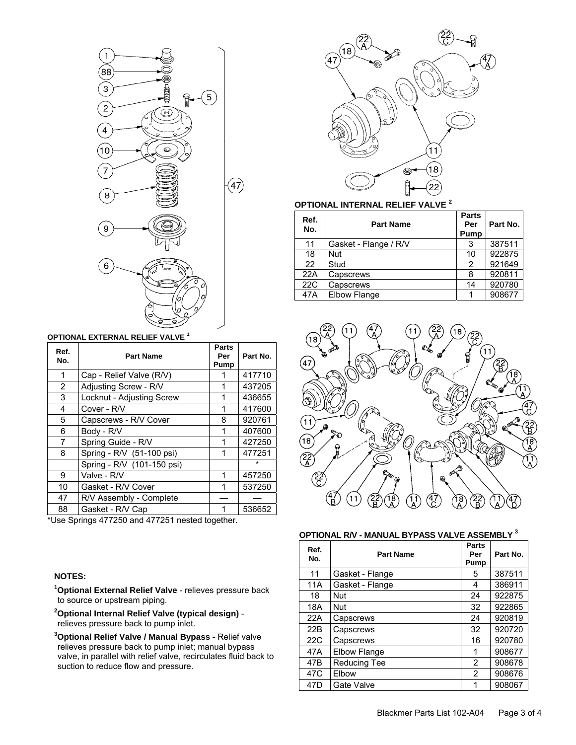

#### **OPTIONAL EXTERNAL RELIEF VALVE <sup>1</sup>**

| Ref.<br>No. | <b>Part Name</b>           | Parts<br>Per<br>Pump | Part No. |
|-------------|----------------------------|----------------------|----------|
| 1           | Cap - Relief Valve (R/V)   |                      | 417710   |
| 2           | Adjusting Screw - R/V      | 1                    | 437205   |
| 3           | Locknut - Adjusting Screw  | 1                    | 436655   |
| 4           | Cover - R/V                | 1                    | 417600   |
| 5           | Capscrews - R/V Cover      | 8                    | 920761   |
| 6           | Body - R/V                 | 1                    | 407600   |
| 7           | Spring Guide - R/V         | 1                    | 427250   |
| 8           | Spring - R/V (51-100 psi)  | 1                    | 477251   |
|             | Spring - R/V (101-150 psi) |                      | $\star$  |
| 9           | Valve - R/V                | 1                    | 457250   |
| 10          | Gasket - R/V Cover         | 1                    | 537250   |
| 47          | R/V Assembly - Complete    |                      |          |
| 88          | Gasket - R/V Cap           | 1                    | 536652   |

\*Use Springs 477250 and 477251 nested together.

### **NOTES:**

**1 Optional External Relief Valve** - relieves pressure back to source or upstream piping.

**2 Optional Internal Relief Valve (typical design)** relieves pressure back to pump inlet.

**3 Optional Relief Valve / Manual Bypass** - Relief valve relieves pressure back to pump inlet; manual bypass valve, in parallel with relief valve, recirculates fluid back to suction to reduce flow and pressure.



# **OPTIONAL INTERNAL RELIEF VALVE <sup>2</sup>**

| <b>Part Name</b>      | <b>Parts</b><br>Per<br>Pump | Part No. |
|-----------------------|-----------------------------|----------|
| Gasket - Flange / R/V | 3                           | 387511   |
| <b>Nut</b>            | 10                          | 922875   |
| Stud                  | 2                           | 921649   |
| Capscrews             | 8                           | 920811   |
| Capscrews             | 14                          | 920780   |
| Elbow Flange          |                             | 908677   |
|                       |                             |          |



#### **OPTIONAL R/V - MANUAL BYPASS VALVE ASSEMBLY 3**

| Ref.<br>No.     | <b>Part Name</b>    | Parts<br>Per<br>Pump | Part No. |
|-----------------|---------------------|----------------------|----------|
| 11              | Gasket - Flange     | 5                    | 387511   |
| 11A             | Gasket - Flange     | 4                    | 386911   |
| 18              | <b>Nut</b>          | 24                   | 922875   |
| 18A             | <b>Nut</b>          | 32                   | 922865   |
| 22A             | Capscrews           | 24                   | 920819   |
| 22B             | Capscrews           | 32                   | 920720   |
| 22C             | Capscrews           | 16                   | 920780   |
| 47A             | Elbow Flange        | 1                    | 908677   |
| 47B             | <b>Reducing Tee</b> | 2                    | 908678   |
| 47 <sub>C</sub> | Elbow               | 2                    | 908676   |
| 47 <sub>D</sub> | Gate Valve          | 1                    | 908067   |